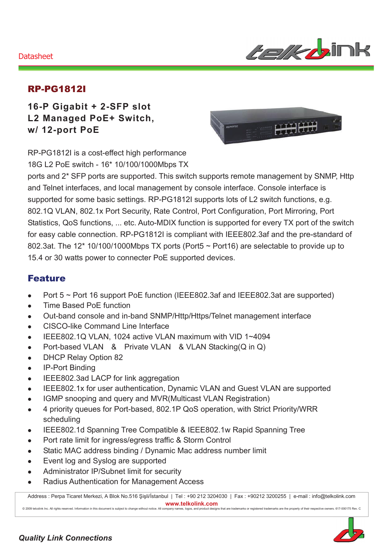#### Datasheet



### RP-PG1812I

**16-P Gigabit + 2-SFP slot L2 Managed PoE+ Switch, w/ 12-port PoE** 



RP-PG1812I is a cost-effect high performance 18G L2 PoE switch - 16\* 10/100/1000Mbps TX

ports and 2\* SFP ports are supported. This switch supports remote management by SNMP, Http and Telnet interfaces, and local management by console interface. Console interface is supported for some basic settings. RP-PG1812I supports lots of L2 switch functions, e.g. 802.1Q VLAN, 802.1x Port Security, Rate Control, Port Configuration, Port Mirroring, Port Statistics, QoS functions, ... etc. Auto-MDIX function is supported for every TX port of the switch for easy cable connection. RP-PG1812I is compliant with IEEE802.3af and the pre-standard of 802.3at. The 12\* 10/100/1000Mbps TX ports (Port5 ~ Port16) are selectable to provide up to 15.4 or 30 watts power to connecter PoE supported devices.

### Feature

- Port  $5 \sim$  Port 16 support PoE function (IEEE802.3af and IEEE802.3at are supported)
- Time Based PoE function
- Out-band console and in-band SNMP/Http/Https/Telnet management interface
- CISCO-like Command Line Interface
- $\bullet$  IEEE802.1Q VLAN, 1024 active VLAN maximum with VID 1~4094
- Port-based VLAN & Private VLAN & VLAN Stacking(Q in Q)
- DHCP Relay Option 82
- IP-Port Binding
- IEEE802.3ad LACP for link aggregation
- IEEE802.1x for user authentication, Dynamic VLAN and Guest VLAN are supported
- IGMP snooping and query and MVR(Multicast VLAN Registration)
- 4 priority queues for Port-based, 802.1P QoS operation, with Strict Priority/WRR scheduling
- IEEE802.1d Spanning Tree Compatible & IEEE802.1w Rapid Spanning Tree
- Port rate limit for ingress/egress traffic & Storm Control

ct to change

- Static MAC address binding / Dynamic Mac address number limit
- Event log and Syslog are supported

d. Information in this docume

- Administrator IP/Subnet limit for security
- Radius Authentication for Management Access

nt is subje

Address : Perpa Ticaret Merkezi, A Blok No.516 Şişli/İstanbul | Tel : +90 212 3204030 | Fax : +90212 3200255 | e-mail : info@telkolink.com  $www.telkolink.com$ 

without notice. All company names, logos, and product designs that are trademarks or registered trademarks are



ev. C

rs. 617-000175 Re

: the : prope rty of the eir re spe: etive: owne

se rve

© 2009 te

Icolink Inc. All rights re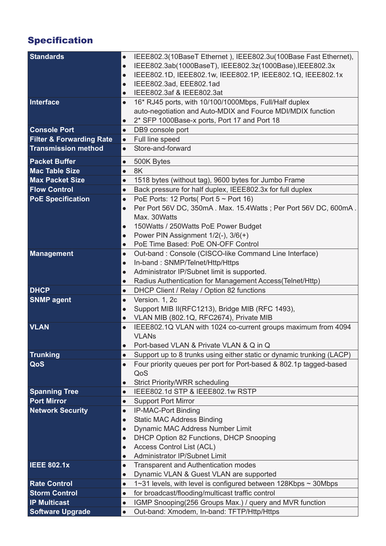# Specification

| <b>Standards</b>                    | $\bullet$ | IEEE802.3(10BaseT Ethernet), IEEE802.3u(100Base Fast Ethernet),       |
|-------------------------------------|-----------|-----------------------------------------------------------------------|
|                                     | $\bullet$ | IEEE802.3ab(1000BaseT), IEEE802.3z(1000Base),IEEE802.3x               |
|                                     | $\bullet$ | IEEE802.1D, IEEE802.1w, IEEE802.1P, IEEE802.1Q, IEEE802.1x            |
|                                     | $\bullet$ | IEEE802.3ad, EEE802.1ad                                               |
|                                     | $\bullet$ | IEEE802.3af & IEEE802.3at                                             |
| Interface                           | $\bullet$ | 16* RJ45 ports, with 10/100/1000Mbps, Full/Half duplex                |
|                                     |           | auto-negotiation and Auto-MDIX and Fource MDI/MDIX function           |
|                                     | $\bullet$ | 2* SFP 1000Base-x ports, Port 17 and Port 18                          |
| <b>Console Port</b>                 | $\bullet$ | DB9 console port                                                      |
| <b>Filter &amp; Forwarding Rate</b> | $\bullet$ | Full line speed                                                       |
| <b>Transmission method</b>          | $\bullet$ | Store-and-forward                                                     |
| <b>Packet Buffer</b>                | $\bullet$ | 500K Bytes                                                            |
| <b>Mac Table Size</b>               | $\bullet$ | 8K                                                                    |
| <b>Max Packet Size</b>              | $\bullet$ | 1518 bytes (without tag), 9600 bytes for Jumbo Frame                  |
| <b>Flow Control</b>                 | $\bullet$ | Back pressure for half duplex, IEEE802.3x for full duplex             |
| <b>PoE Specification</b>            | $\bullet$ | PoE Ports: 12 Ports (Port $5 \sim$ Port 16)                           |
|                                     | $\bullet$ | Per Port 56V DC, 350mA. Max. 15.4Watts; Per Port 56V DC, 600mA.       |
|                                     |           | Max. 30Watts                                                          |
|                                     | $\bullet$ | 150 Watts / 250 Watts PoE Power Budget                                |
|                                     | $\bullet$ | Power PIN Assignment $1/2(-)$ , $3/6(+)$                              |
|                                     | $\bullet$ | PoE Time Based: PoE ON-OFF Control                                    |
| <b>Management</b>                   | $\bullet$ | Out-band: Console (CISCO-like Command Line Interface)                 |
|                                     | $\bullet$ | In-band: SNMP/Telnet/Http/Https                                       |
|                                     | $\bullet$ | Administrator IP/Subnet limit is supported.                           |
|                                     | $\bullet$ | Radius Authentication for Management Access(Telnet/Http)              |
| <b>DHCP</b>                         | $\bullet$ | DHCP Client / Relay / Option 82 functions                             |
| <b>SNMP agent</b>                   | $\bullet$ | Version. 1, 2c                                                        |
|                                     | $\bullet$ | Support MIB II(RFC1213), Bridge MIB (RFC 1493),                       |
|                                     | $\bullet$ | VLAN MIB (802.1Q, RFC2674), Private MIB                               |
| <b>VLAN</b>                         | $\bullet$ | IEEE802.1Q VLAN with 1024 co-current groups maximum from 4094         |
|                                     |           | <b>VLANs</b>                                                          |
|                                     | $\bullet$ | Port-based VLAN & Private VLAN & Q in Q                               |
| <b>Trunking</b>                     | $\bullet$ | Support up to 8 trunks using either static or dynamic trunking (LACP) |
| QoS                                 | $\bullet$ | Four priority queues per port for Port-based & 802.1p tagged-based    |
|                                     |           | QoS                                                                   |
|                                     | $\bullet$ | <b>Strict Priority/WRR scheduling</b>                                 |
| <b>Spanning Tree</b>                | $\bullet$ | IEEE802.1d STP & IEEE802.1w RSTP                                      |
| <b>Port Mirror</b>                  | $\bullet$ | <b>Support Port Mirror</b>                                            |
| <b>Network Security</b>             | $\bullet$ | <b>IP-MAC-Port Binding</b>                                            |
|                                     | $\bullet$ | <b>Static MAC Address Binding</b>                                     |
|                                     | $\bullet$ | Dynamic MAC Address Number Limit                                      |
|                                     | $\bullet$ | DHCP Option 82 Functions, DHCP Snooping                               |
|                                     | $\bullet$ | Access Control List (ACL)                                             |
|                                     | $\bullet$ | Administrator IP/Subnet Limit                                         |
| <b>IEEE 802.1x</b>                  | $\bullet$ | <b>Transparent and Authentication modes</b>                           |
|                                     | $\bullet$ | Dynamic VLAN & Guest VLAN are supported                               |
| <b>Rate Control</b>                 | $\bullet$ | 1~31 levels, with level is configured between 128Kbps ~ 30Mbps        |
| <b>Storm Control</b>                | $\bullet$ | for broadcast/flooding/multicast traffic control                      |
| <b>IP Multicast</b>                 | $\bullet$ | IGMP Snooping(256 Groups Max.) / query and MVR function               |
| <b>Software Upgrade</b>             | $\bullet$ | Out-band: Xmodem, In-band: TFTP/Http/Https                            |